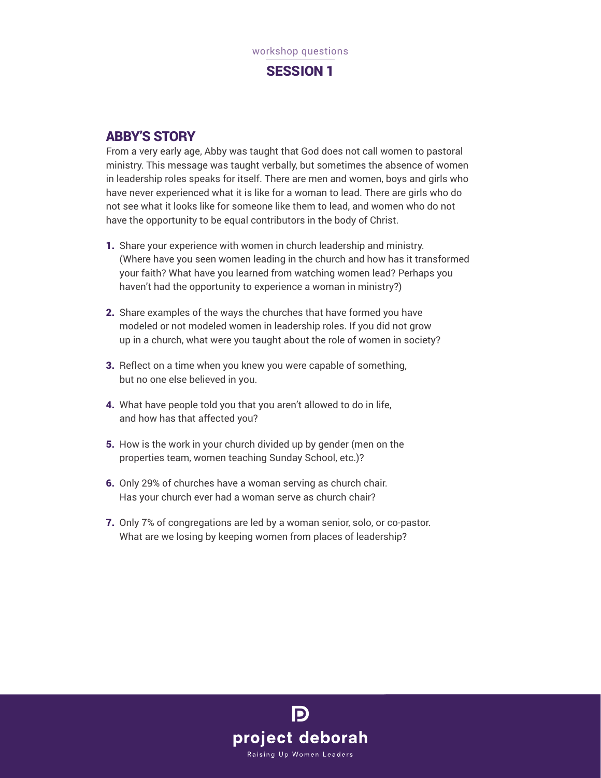

## ABBY'S STORY

From a very early age, Abby was taught that God does not call women to pastoral ministry. This message was taught verbally, but sometimes the absence of women in leadership roles speaks for itself. There are men and women, boys and girls who have never experienced what it is like for a woman to lead. There are girls who do not see what it looks like for someone like them to lead, and women who do not have the opportunity to be equal contributors in the body of Christ.

- 1. Share your experience with women in church leadership and ministry. (Where have you seen women leading in the church and how has it transformed your faith? What have you learned from watching women lead? Perhaps you haven't had the opportunity to experience a woman in ministry?)
- 2. Share examples of the ways the churches that have formed you have modeled or not modeled women in leadership roles. If you did not grow up in a church, what were you taught about the role of women in society?
- **3.** Reflect on a time when you knew you were capable of something, but no one else believed in you.
- 4. What have people told you that you aren't allowed to do in life, and how has that affected you?
- 5. How is the work in your church divided up by gender (men on the properties team, women teaching Sunday School, etc.)?
- 6. Only 29% of churches have a woman serving as church chair. Has your church ever had a woman serve as church chair?
- 7. Only 7% of congregations are led by a woman senior, solo, or co-pastor. What are we losing by keeping women from places of leadership?

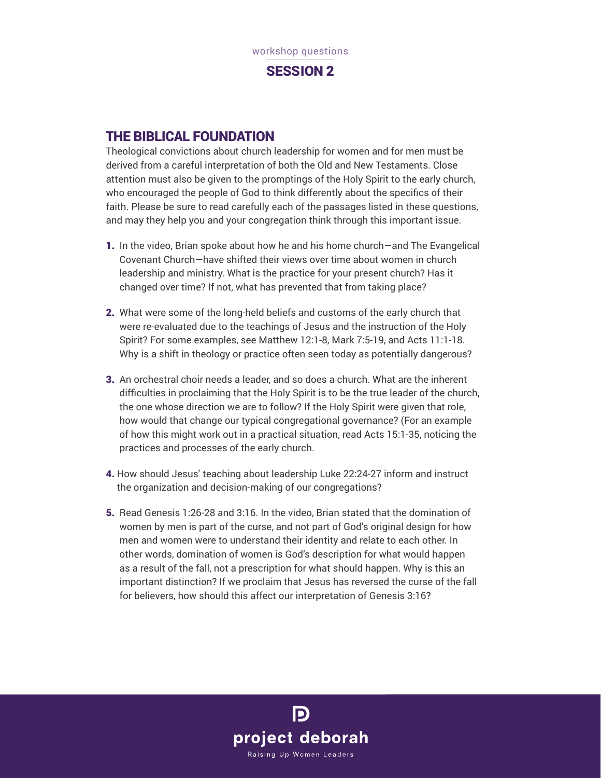

## THE BIBLICAL FOUNDATION

Theological convictions about church leadership for women and for men must be derived from a careful interpretation of both the Old and New Testaments. Close attention must also be given to the promptings of the Holy Spirit to the early church, who encouraged the people of God to think differently about the specifics of their faith. Please be sure to read carefully each of the passages listed in these questions, and may they help you and your congregation think through this important issue.

- 1. In the video, Brian spoke about how he and his home church—and The Evangelical Covenant Church—have shifted their views over time about women in church leadership and ministry. What is the practice for your present church? Has it changed over time? If not, what has prevented that from taking place?
- 2. What were some of the long-held beliefs and customs of the early church that were re-evaluated due to the teachings of Jesus and the instruction of the Holy Spirit? For some examples, see Matthew 12:1-8, Mark 7:5-19, and Acts 11:1-18. Why is a shift in theology or practice often seen today as potentially dangerous?
- 3. An orchestral choir needs a leader, and so does a church. What are the inherent difficulties in proclaiming that the Holy Spirit is to be the true leader of the church, the one whose direction we are to follow? If the Holy Spirit were given that role, how would that change our typical congregational governance? (For an example of how this might work out in a practical situation, read Acts 15:1-35, noticing the practices and processes of the early church.
- 4. How should Jesus' teaching about leadership Luke 22:24-27 inform and instruct the organization and decision-making of our congregations?
- 5. Read Genesis 1:26-28 and 3:16. In the video, Brian stated that the domination of women by men is part of the curse, and not part of God's original design for how men and women were to understand their identity and relate to each other. In other words, domination of women is God's description for what would happen as a result of the fall, not a prescription for what should happen. Why is this an important distinction? If we proclaim that Jesus has reversed the curse of the fall for believers, how should this affect our interpretation of Genesis 3:16?

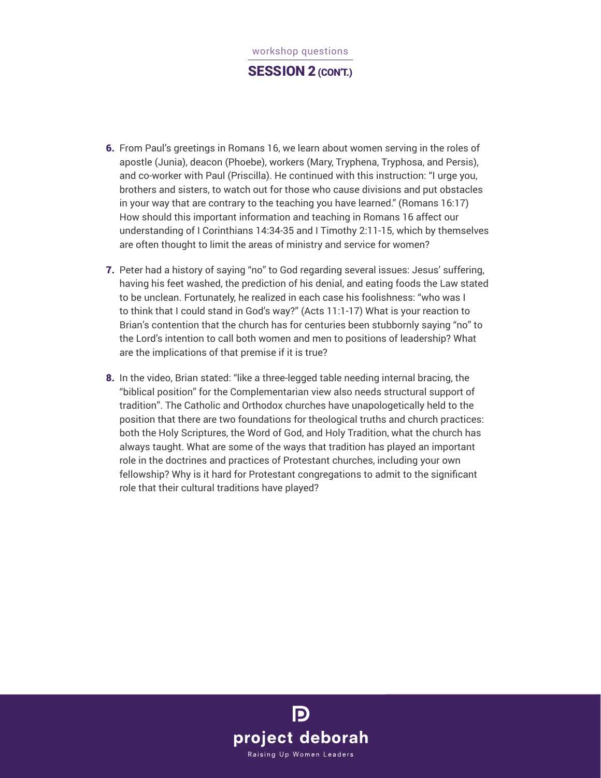# workshop questions SESSION 2 (CON'T.)

- 6. From Paul's greetings in Romans 16, we learn about women serving in the roles of apostle (Junia), deacon (Phoebe), workers (Mary, Tryphena, Tryphosa, and Persis), and co-worker with Paul (Priscilla). He continued with this instruction: "I urge you, brothers and sisters, to watch out for those who cause divisions and put obstacles in your way that are contrary to the teaching you have learned." (Romans 16:17) How should this important information and teaching in Romans 16 affect our understanding of I Corinthians 14:34-35 and I Timothy 2:11-15, which by themselves are often thought to limit the areas of ministry and service for women?
- 7. Peter had a history of saying "no" to God regarding several issues: Jesus' suffering, having his feet washed, the prediction of his denial, and eating foods the Law stated to be unclean. Fortunately, he realized in each case his foolishness: "who was I to think that I could stand in God's way?" (Acts 11:1-17) What is your reaction to Brian's contention that the church has for centuries been stubbornly saying "no" to the Lord's intention to call both women and men to positions of leadership? What are the implications of that premise if it is true?
- 8. In the video, Brian stated: "like a three-legged table needing internal bracing, the "biblical position" for the Complementarian view also needs structural support of tradition". The Catholic and Orthodox churches have unapologetically held to the position that there are two foundations for theological truths and church practices: both the Holy Scriptures, the Word of God, and Holy Tradition, what the church has always taught. What are some of the ways that tradition has played an important role in the doctrines and practices of Protestant churches, including your own fellowship? Why is it hard for Protestant congregations to admit to the significant role that their cultural traditions have played?

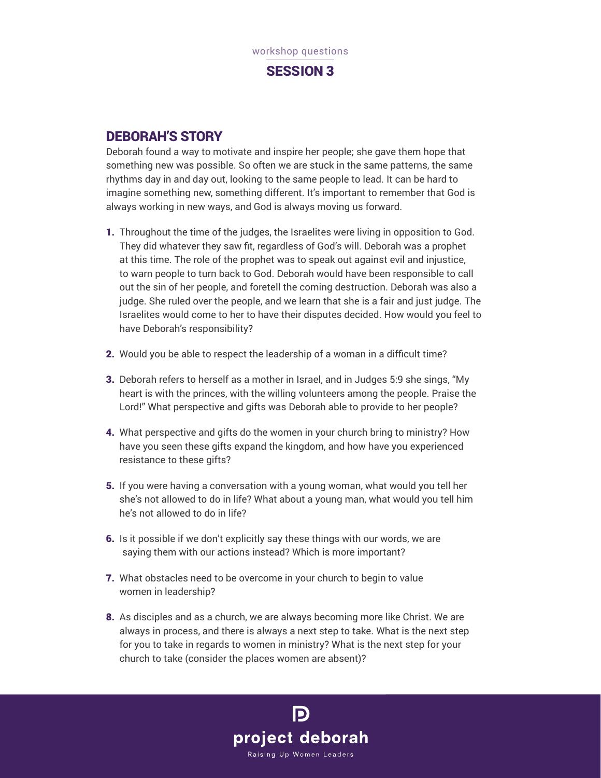

### DEBORAH'S STORY

Deborah found a way to motivate and inspire her people; she gave them hope that something new was possible. So often we are stuck in the same patterns, the same rhythms day in and day out, looking to the same people to lead. It can be hard to imagine something new, something different. It's important to remember that God is always working in new ways, and God is always moving us forward.

- 1. Throughout the time of the judges, the Israelites were living in opposition to God. They did whatever they saw fit, regardless of God's will. Deborah was a prophet at this time. The role of the prophet was to speak out against evil and injustice, to warn people to turn back to God. Deborah would have been responsible to call out the sin of her people, and foretell the coming destruction. Deborah was also a judge. She ruled over the people, and we learn that she is a fair and just judge. The Israelites would come to her to have their disputes decided. How would you feel to have Deborah's responsibility?
- 2. Would you be able to respect the leadership of a woman in a difficult time?
- 3. Deborah refers to herself as a mother in Israel, and in Judges 5:9 she sings, "My heart is with the princes, with the willing volunteers among the people. Praise the Lord!" What perspective and gifts was Deborah able to provide to her people?
- 4. What perspective and gifts do the women in your church bring to ministry? How have you seen these gifts expand the kingdom, and how have you experienced resistance to these gifts?
- 5. If you were having a conversation with a young woman, what would you tell her she's not allowed to do in life? What about a young man, what would you tell him he's not allowed to do in life?
- 6. Is it possible if we don't explicitly say these things with our words, we are saying them with our actions instead? Which is more important?
- 7. What obstacles need to be overcome in your church to begin to value women in leadership?
- 8. As disciples and as a church, we are always becoming more like Christ. We are always in process, and there is always a next step to take. What is the next step for you to take in regards to women in ministry? What is the next step for your church to take (consider the places women are absent)?

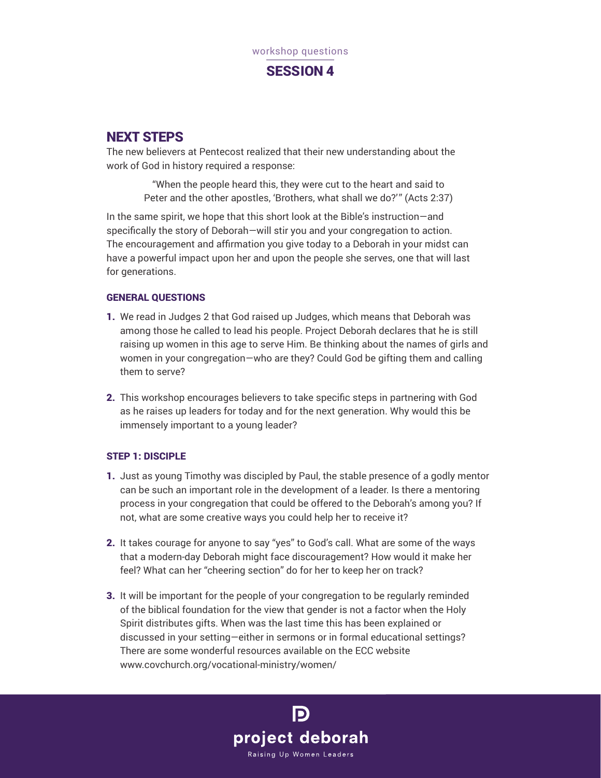

## NEXT STEPS

The new believers at Pentecost realized that their new understanding about the work of God in history required a response:

> "When the people heard this, they were cut to the heart and said to Peter and the other apostles, 'Brothers, what shall we do?'" (Acts 2:37)

In the same spirit, we hope that this short look at the Bible's instruction—and specifically the story of Deborah—will stir you and your congregation to action. The encouragement and affirmation you give today to a Deborah in your midst can have a powerful impact upon her and upon the people she serves, one that will last for generations.

### GENERAL QUESTIONS

- 1. We read in Judges 2 that God raised up Judges, which means that Deborah was among those he called to lead his people. Project Deborah declares that he is still raising up women in this age to serve Him. Be thinking about the names of girls and women in your congregation—who are they? Could God be gifting them and calling them to serve?
- 2. This workshop encourages believers to take specific steps in partnering with God as he raises up leaders for today and for the next generation. Why would this be immensely important to a young leader?

### STEP 1: DISCIPLE

- 1. Just as young Timothy was discipled by Paul, the stable presence of a godly mentor can be such an important role in the development of a leader. Is there a mentoring process in your congregation that could be offered to the Deborah's among you? If not, what are some creative ways you could help her to receive it?
- 2. It takes courage for anyone to say "yes" to God's call. What are some of the ways that a modern-day Deborah might face discouragement? How would it make her feel? What can her "cheering section" do for her to keep her on track?
- 3. It will be important for the people of your congregation to be regularly reminded of the biblical foundation for the view that gender is not a factor when the Holy Spirit distributes gifts. When was the last time this has been explained or discussed in your setting—either in sermons or in formal educational settings? There are some wonderful resources available on the ECC website www.covchurch.org/vocational-ministry/women/